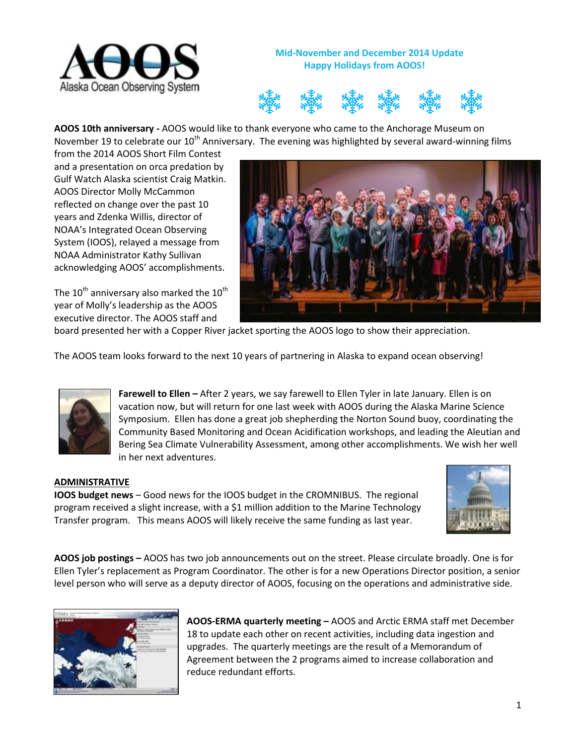

**Mid-November and December 2014 Update Happy Holidays from AOOS!**



**AOOS 10th anniversary -** AOOS would like to thank everyone who came to the Anchorage Museum on November 19 to celebrate our 10<sup>th</sup> Anniversary. The evening was highlighted by several award-winning films

from the 2014 AOOS Short Film Contest and a presentation on orca predation by Gulf Watch Alaska scientist Craig Matkin. AOOS Director Molly McCammon reflected on change over the past 10 years and Zdenka Willis, director of NOAA's Integrated Ocean Observing System (IOOS), relayed a message from NOAA Administrator Kathy Sullivan acknowledging AOOS' accomplishments.

The  $10^{th}$  anniversary also marked the  $10^{th}$ year of Molly's leadership as the AOOS executive director. The AOOS staff and



board presented her with a Copper River jacket sporting the AOOS logo to show their appreciation.

The AOOS team looks forward to the next 10 years of partnering in Alaska to expand ocean observing!



**Farewell to Ellen –** After 2 years, we say farewell to Ellen Tyler in late January. Ellen is on vacation now, but will return for one last week with AOOS during the Alaska Marine Science Symposium. Ellen has done a great job shepherding the Norton Sound buoy, coordinating the Community Based Monitoring and Ocean Acidification workshops, and leading the Aleutian and Bering Sea Climate Vulnerability Assessment, among other accomplishments. We wish her well in her next adventures.

## **ADMINISTRATIVE**

**IOOS budget news** – Good news for the IOOS budget in the CROMNIBUS. The regional program received a slight increase, with a \$1 million addition to the Marine Technology Transfer program. This means AOOS will likely receive the same funding as last year.



**AOOS job postings –** AOOS has two job announcements out on the street. Please circulate broadly. One is for Ellen Tyler's replacement as Program Coordinator. The other is for a new Operations Director position, a senior level person who will serve as a deputy director of AOOS, focusing on the operations and administrative side.



**AOOS-ERMA quarterly meeting –** AOOS and Arctic ERMA staff met December 18 to update each other on recent activities, including data ingestion and upgrades. The quarterly meetings are the result of a Memorandum of Agreement between the 2 programs aimed to increase collaboration and reduce redundant efforts.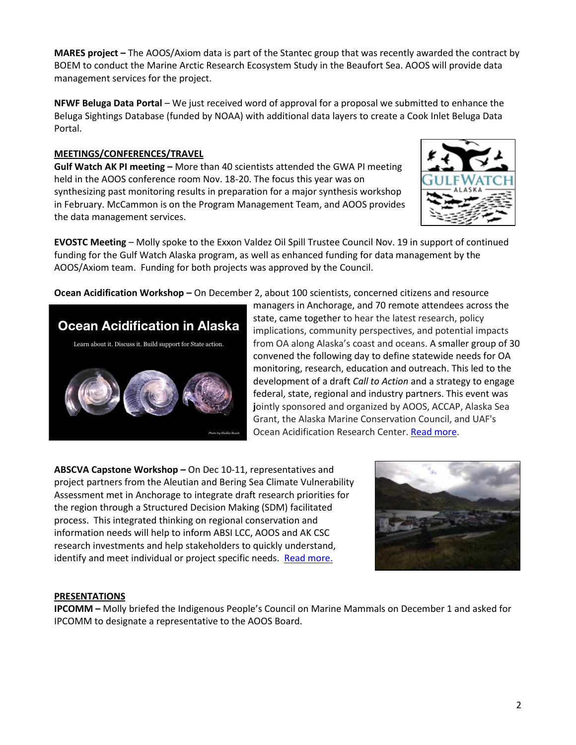**MARES project –** The AOOS/Axiom data is part of the Stantec group that was recently awarded the contract by BOEM to conduct the Marine Arctic Research Ecosystem Study in the Beaufort Sea. AOOS will provide data management services for the project.

**NFWF Beluga Data Portal** – We just received word of approval for a proposal we submitted to enhance the Beluga Sightings Database (funded by NOAA) with additional data layers to create a Cook Inlet Beluga Data Portal.

# **MEETINGS/CONFERENCES/TRAVEL**

**Gulf Watch AK PI meeting –** More than 40 scientists attended the GWA PI meeting held in the AOOS conference room Nov. 18-20. The focus this year was on synthesizing past monitoring results in preparation for a major synthesis workshop in February. McCammon is on the Program Management Team, and AOOS provides the data management services.



**EVOSTC Meeting** – Molly spoke to the Exxon Valdez Oil Spill Trustee Council Nov. 19 in support of continued funding for the Gulf Watch Alaska program, as well as enhanced funding for data management by the AOOS/Axiom team. Funding for both projects was approved by the Council.

**Ocean Acidification Workshop –** On December 2, about 100 scientists, concerned citizens and resource



managers in Anchorage, and 70 remote attendees across the state, came together to hear the latest research, policy implications, community perspectives, and potential impacts from OA along Alaska's coast and oceans. A smaller group of 30 convened the following day to define statewide needs for OA monitoring, research, education and outreach. This led to the development of a draft *Call to Action* and a strategy to engage federal, state, regional and industry partners. This event was **j**ointly sponsored and organized by AOOS, ACCAP, Alaska Sea Grant, the Alaska Marine Conservation Council, and UAF's Ocean Acidification Research Center. [Read more.](http://www.aoos.org/ocean-acidification-workshop/)

**ABSCVA Capstone Workshop –** On Dec 10-11, representatives and project partners from the Aleutian and Bering Sea Climate Vulnerability Assessment met in Anchorage to integrate draft research priorities for the region through a Structured Decision Making (SDM) facilitated process. This integrated thinking on regional conservation and information needs will help to inform ABSI LCC, AOOS and AK CSC research investments and help stakeholders to quickly understand, identify and meet individual or project specific needs. Read more.



#### **PRESENTATIONS**

**IPCOMM –** Molly briefed the Indigenous People's Council on Marine Mammals on December 1 and asked for IPCOMM to designate a representative to the AOOS Board.